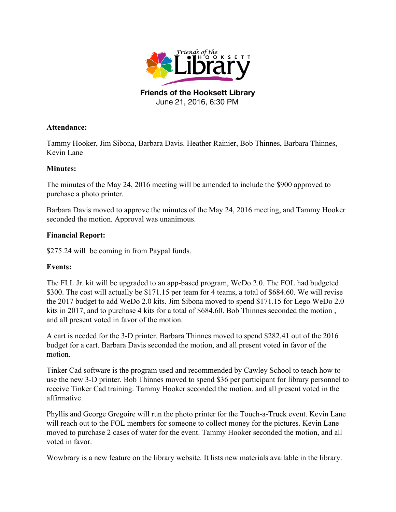

**Friends of the Hooksett Library** June 21, 2016, 6:30 PM

## **Attendance:**

Tammy Hooker, Jim Sibona, Barbara Davis. Heather Rainier, Bob Thinnes, Barbara Thinnes, Kevin Lane

## **Minutes:**

The minutes of the May 24, 2016 meeting will be amended to include the \$900 approved to purchase a photo printer.

Barbara Davis moved to approve the minutes of the May 24, 2016 meeting, and Tammy Hooker seconded the motion. Approval was unanimous.

## **Financial Report:**

\$275.24 will be coming in from Paypal funds.

## **Events:**

The FLL Jr. kit will be upgraded to an app-based program, WeDo 2.0. The FOL had budgeted \$300. The cost will actually be \$171.15 per team for 4 teams, a total of \$684.60. We will revise the 2017 budget to add WeDo 2.0 kits. Jim Sibona moved to spend \$171.15 for Lego WeDo 2.0 kits in 2017, and to purchase 4 kits for a total of \$684.60. Bob Thinnes seconded the motion , and all present voted in favor of the motion.

A cart is needed for the 3-D printer. Barbara Thinnes moved to spend \$282.41 out of the 2016 budget for a cart. Barbara Davis seconded the motion, and all present voted in favor of the motion.

Tinker Cad software is the program used and recommended by Cawley School to teach how to use the new 3-D printer. Bob Thinnes moved to spend \$36 per participant for library personnel to receive Tinker Cad training. Tammy Hooker seconded the motion. and all present voted in the affirmative.

Phyllis and George Gregoire will run the photo printer for the Touch-a-Truck event. Kevin Lane will reach out to the FOL members for someone to collect money for the pictures. Kevin Lane moved to purchase 2 cases of water for the event. Tammy Hooker seconded the motion, and all voted in favor.

Wowbrary is a new feature on the library website. It lists new materials available in the library.